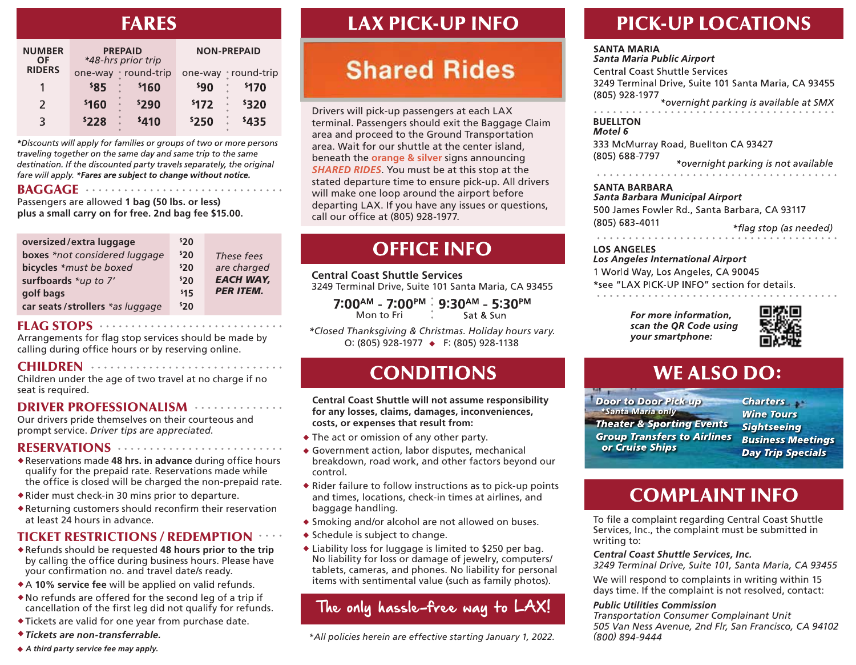### **FARES**

| <b>NUMBER</b><br>OF |       | <b>PREPAID</b><br>*48-hrs prior trip |                 | <b>NON-PREPAID</b> |
|---------------------|-------|--------------------------------------|-----------------|--------------------|
| <b>RIDERS</b>       |       | one-way • round-trip                 |                 | one-way round-trip |
| 1                   | \$85  | \$160                                | sg <sub>0</sub> | <b>\$170</b>       |
| $\mathcal{L}$       | \$160 | \$290                                | \$172           | \$320<br>$\bullet$ |
| 3                   | 5228  | \$410                                | \$250           | \$435              |

\*Discounts will apply for families or groups of two or more persons traveling together on the same day and same trip to the same destination. If the discounted party travels separately, the original fare will apply. \*Fares are subject to change without notice.

. . . . . . . . . . . . .

#### BAGGAGE ...................

Passengers are allowed **1 bag (50 lbs. or less) plus a small carry on for free. 2nd bag fee \$15.00.**

| oversized/extra luggage         | 520 |                  |
|---------------------------------|-----|------------------|
| boxes *not considered luggage   | 520 | These fees       |
| bicycles *must be boxed         | 520 | are charged      |
| surfboards *up to 7'            | 520 | <b>EACH WAY,</b> |
| golf bags                       | 515 | <b>PER ITEM.</b> |
| car seats/strollers *as luggage | 520 |                  |

### FLAG STOPS ...................................

Arrangements for flag stop services should be made by calling during office hours or by reserving online.

#### CHILDREN .................................

Children under the age of two travel at no charge if no seat is required.

### DRIVER PROFESSIONALISM ...............

Our drivers pride themselves on their courteous and prompt service. *Driver tips are appreciated*.

### RESERVATIONS ............................

- \* Reservations made 48 hrs. in advance during office hours qualify for the prepaid rate. Reservations made while the office is closed will be charged the non-prepaid rate.
- Rider must check-in 30 mins prior to departure.
- $\triangle$  Returning customers should reconfirm their reservation at least 24 hours in advance.

### TICKET RESTRICTIONS / REDEMPTION

- Refunds should be requested **48 hours prior to the trip**  by calling the office during business hours. Please have your confirmation no. and travel date/s ready.
- A **10% service fee** will be applied on valid refunds.
- No refunds are offered for the second leg of a trip if cancellation of the first leg did not qualify for refunds.
- Tickets are valid for one year from purchase date.
- *Tickets are non-transferrable.*
- *A third party service fee may apply.*

# **LAX PICK-UP INFO**

# **Shared Rides**

Drivers will pick-up passengers at each LAX terminal. Passengers should exit the Baggage Claim area and proceed to the Ground Transportation area. Wait for our shuttle at the center island, beneath the **orange & silver** signs announcing *SHARED RIDES*. You must be at this stop at the stated departure time to ensure pick-up. All drivers will make one loop around the airport before departing LAX. If you have any issues or questions, call our office at (805) 928-1977.

# **OFFICE INFO**

**Central Coast Shuttle Services** 3249 Terminal Drive, Suite 101 Santa Maria, CA 93455

 $7:00^{AM}$  -  $7:00^{PM}$  : 9:30<sup>AM</sup> - 5:30<sup>PM</sup> Mon to Fri Sat & Sun

*\*Closed Thanksgiving & Christmas. Holiday hours vary.* O: (805) 928-1977 → F: (805) 928-1138

## **CONDITIONS**

**Central Coast Shuttle will not assume responsibility for any losses, claims, damages, inconveniences, costs, or expenses that result from:**

- The act or omission of any other party.
- Government action, labor disputes, mechanical breakdown, road work, and other factors beyond our control.
- $\bullet$  Rider failure to follow instructions as to pick-up points and times, locations, check-in times at airlines, and baggage handling.
- Smoking and/or alcohol are not allowed on buses.
- $\bullet$  Schedule is subject to change.
- Liability loss for luggage is limited to \$250 per bag. No liability for loss or damage of jewelry, computers/ tablets, cameras, and phones. No liability for personal items with sentimental value (such as family photos).

### The only hassle-free way to LAX!

*\*All policies herein are effective starting January 1, 2022.* 

# **PICK-UP LOCATIONS**

#### **SANTA MARIA**

**Santa Maria Public Airport Central Coast Shuttle Services** 3249 Terminal Drive, Suite 101 Santa Maria, CA 93455  $(805)$  928-1977<br>\*overnight parking is available at SMX

#### **BUELLTON** Motel 6

333 McMurray Road, Buellton CA 93427 (805) 688-7797 \*overnight parking is not available

<u>. . . . . . . . .</u>

#### **SANTA BARBARA**

. . . . . . . . . . . . . .

Santa Barbara Municipal Airport 500 James Fowler Rd., Santa Barbara, CA 93117 (805) 683-4011

\*flag stop (as needed)

### **LOS ANGELES**

**Los Angeles International Airport** 1 World Way, Los Angeles, CA 90045 \*see "LAX PICK-UP INFO" section for details.

> For more information. scan the OR Code using your smartphone:



## **WE ALSO DO:**

**Door to Door Pick-up** \*Santa Maria only **Theater & Sporting Events Group Transfers to Airlines** or Cruise Ships

**Charters Wine Tours Sightseeing Business Meetings Day Trip Specials** 

## **COMPLAINT INFO**

To file a complaint regarding Central Coast Shuttle Services, Inc., the complaint must be submitted in writing to:

*Central Coast Shuttle Services, Inc.*

*3249 Terminal Drive, Suite 101, Santa Maria, CA 93455*

We will respond to complaints in writing within 15 days time. If the complaint is not resolved, contact:

#### *Public Utilities Commission*

*Transportation Consumer Complainant Unit 505 Van Ness Avenue, 2nd Flr, San Francisco, CA 94102 (800) 894-9444*